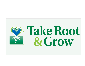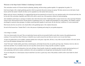## Welcome to the Hope Seeds Children's Gardening Curriculum!

This curriculum consists of 24 lessons based on planning, planting, and harvesting a garden together. It is appropriate for grades 3-6.

Each lesson begins with a simple gardening question which can generate discussion among your group. The basic answers are on the back of each lesson card for the teacher's benefit, but these can be expanded on as the teacher feels necessary.

Before each new lesson is introduced, it is suggested that the previous questions be reviewed. Not every question needs to be reviewed each time, but by the end of the curriculum, hopefully each child will be able to answer any of the questions without too much prompting.

Also included in each lesson is a passage of scripture and a short discussion starter. Gardening holds so many lessons for us all as growing Christians. Tying in God's Word and His lessons with the practice of gardening can be very valuable and meaningful for young children. The children could be encouraged to memorize these passages of scripture, practicing them together in each lesson. By the end, they would have 24 verses memorized!

Most lessons also have an activity to do, based either on the gardening topic or the scripture discussion.

Several of the lessons have "Garden Work" to do as the process of planting and caring for your garden progresses.

A few things to consider:

-Not every lesson needs to be used. They are stand-alone lessons and do not necessarily build on each other except as the gardening process continues. If you need fewer than 24 lessons, it should be easy to pick out just the ones that you want to cover in your time frame.

-If space for garden plots is not available, container gardens also work great. Large tubs, old tires, or any other recycled container will work. Just be sure to provide adequate drainage holes in the bottom.

-Good "kid crops" include radish, green beans, mustard greens, and turnips because they are quickly growing crops. Tomatoes, however, take too much time and labor. Try to include at least one root crop (like carrots) and one vining crop (like cucumber or squash).

-Allow the kids to do the work themselves, but work with them. Some benefits, besides the vegetables produced, include experiencing the joy of work, partnering with God in creation, satisfaction with a job accomplished even though hard, and sharing their rewards with others.

-If you are doing this as a school project, keep in mind that if you have a good crop, some of the produce could be sold to raise funds for school needs.

Happy Gardening!

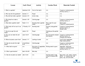| Lesson                                      | <b>God's Word</b>     | <b>Activity</b>                           | <b>Garden Work</b>                                    | <b>Materials Needed</b>                                                                           |
|---------------------------------------------|-----------------------|-------------------------------------------|-------------------------------------------------------|---------------------------------------------------------------------------------------------------|
| 1. What is a garden?                        | Galatians 5:22        | Fruit of the Spirit                       | n/a                                                   | Crayons or colored pencils<br><b>Activity Card Ls. 1</b>                                          |
| 2. Who was the first gardener?              | Genesis 1:1           | Prayer                                    | n/a                                                   | n/a                                                                                               |
| 3. Why did God make a garden?               | Genesis 2:15          | Action song                               | n/a                                                   | n/a                                                                                               |
| 4. Why should we make a<br>garden?          | Genesis 1:29          | Coloring page                             | n/a                                                   | Crayons or colored pencils<br>Activity Card Ls. 4                                                 |
| 5. What does a garden need?                 | Psalm 1:1-3           | Drawing what a garden<br>needs            | Pick a spot for your<br>garden                        | <b>Blank paper</b><br>Crayons or colored pencils                                                  |
| 6. What tools will we use in our<br>garden? | 2 Timothy 3:17        | Drawing tools                             | Practice using garden<br>tools                        | Crayons or colored pencils<br><b>Activity Card Ls. 5</b><br>Garden tools                          |
| 7. How do we get the soil<br>ready?         | <b>James 1:21</b>     | Prayer                                    | Cleaning up the garden<br>plot.                       | n/a                                                                                               |
| 8. How can we make the soil<br>better?      | Luke 12:6-9           | Coloring page                             | Mix and spread compost<br>and manure.                 | Crayons or colored pencils<br><b>Activity Card Ls. 8</b><br>Compost and manure                    |
| 9. Where do plants come from?               | Genesis 1:11          | Looking at seeds                          | n/a                                                   | Local fruits/vegetables<br>Hope Seeds packets                                                     |
| 10. How do we pick the right<br>seeds?      | 2 Corinthians<br>9:10 | Coloring page                             | n/a                                                   | Crayons or colored pencils<br><b>Activity Card Ls. 10</b>                                         |
| 11. What shall we grow?                     | n/a                   | Discussion of vegetables<br>Coloring page | Picking seeds to grow                                 | Vegetable flashcards<br>Crayons or colored pencils<br><b>Activity Card Ls. 11</b>                 |
| 12. What is germination?                    | Mark 4:26-28          | Role play                                 | n/a                                                   | n/a                                                                                               |
| 13. How do we plant our seeds?              | John 12:24            | n/a                                       | Starting seeds in egg<br>carton or banana leaf<br>pot | Egg carton, soil, seeds, scissors,<br>pencil -or- banana leaf, tall<br>grass, cup, soil and seeds |